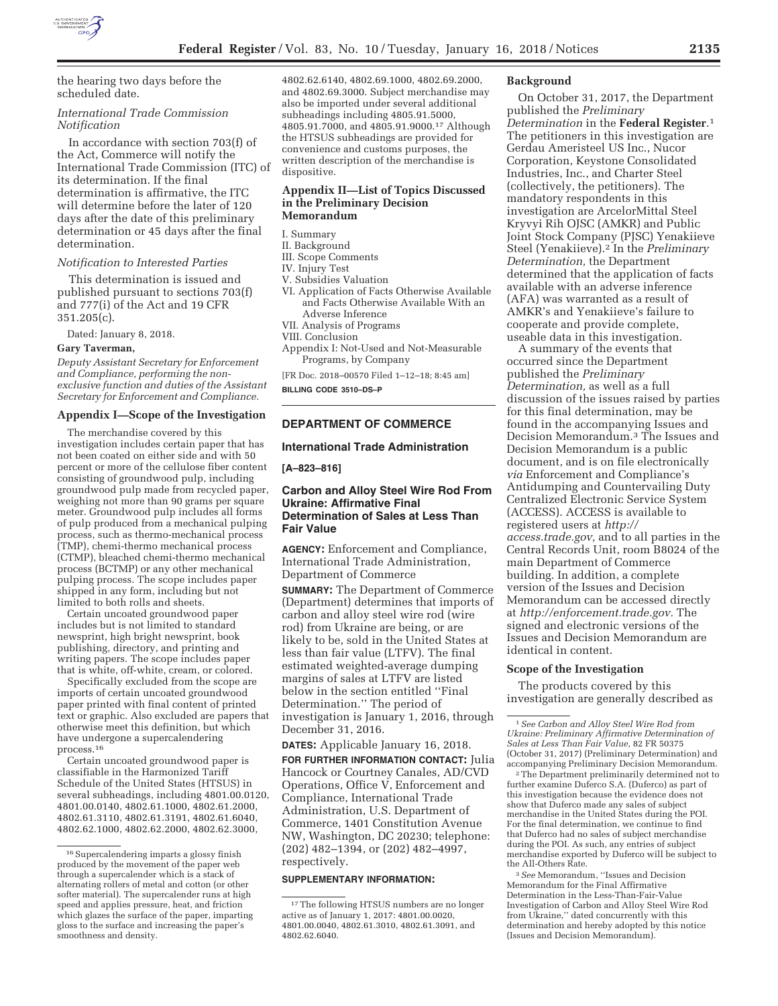

the hearing two days before the scheduled date.

## *International Trade Commission Notification*

In accordance with section 703(f) of the Act, Commerce will notify the International Trade Commission (ITC) of its determination. If the final determination is affirmative, the ITC will determine before the later of 120 days after the date of this preliminary determination or 45 days after the final determination.

## *Notification to Interested Parties*

This determination is issued and published pursuant to sections 703(f) and 777(i) of the Act and 19 CFR 351.205(c).

Dated: January 8, 2018.

**Gary Taverman,** 

*Deputy Assistant Secretary for Enforcement and Compliance, performing the nonexclusive function and duties of the Assistant Secretary for Enforcement and Compliance.* 

# **Appendix I—Scope of the Investigation**

The merchandise covered by this investigation includes certain paper that has not been coated on either side and with 50 percent or more of the cellulose fiber content consisting of groundwood pulp, including groundwood pulp made from recycled paper, weighing not more than 90 grams per square meter. Groundwood pulp includes all forms of pulp produced from a mechanical pulping process, such as thermo-mechanical process (TMP), chemi-thermo mechanical process (CTMP), bleached chemi-thermo mechanical process (BCTMP) or any other mechanical pulping process. The scope includes paper shipped in any form, including but not limited to both rolls and sheets.

Certain uncoated groundwood paper includes but is not limited to standard newsprint, high bright newsprint, book publishing, directory, and printing and writing papers. The scope includes paper that is white, off-white, cream, or colored.

Specifically excluded from the scope are imports of certain uncoated groundwood paper printed with final content of printed text or graphic. Also excluded are papers that otherwise meet this definition, but which have undergone a supercalendering process.16

Certain uncoated groundwood paper is classifiable in the Harmonized Tariff Schedule of the United States (HTSUS) in several subheadings, including 4801.00.0120, 4801.00.0140, 4802.61.1000, 4802.61.2000, 4802.61.3110, 4802.61.3191, 4802.61.6040, 4802.62.1000, 4802.62.2000, 4802.62.3000,

4802.62.6140, 4802.69.1000, 4802.69.2000, and 4802.69.3000. Subject merchandise may also be imported under several additional subheadings including 4805.91.5000, 4805.91.7000, and 4805.91.9000.17 Although the HTSUS subheadings are provided for convenience and customs purposes, the written description of the merchandise is dispositive.

## **Appendix II—List of Topics Discussed in the Preliminary Decision Memorandum**

I. Summary

- II. Background
- III. Scope Comments
- IV. Injury Test
- V. Subsidies Valuation
- VI. Application of Facts Otherwise Available and Facts Otherwise Available With an Adverse Inference
- VII. Analysis of Programs
- VIII. Conclusion

Appendix I: Not-Used and Not-Measurable Programs, by Company

[FR Doc. 2018–00570 Filed 1–12–18; 8:45 am] **BILLING CODE 3510–DS–P** 

## **DEPARTMENT OF COMMERCE**

#### **International Trade Administration**

**[A–823–816]** 

## **Carbon and Alloy Steel Wire Rod From Ukraine: Affirmative Final Determination of Sales at Less Than Fair Value**

**AGENCY:** Enforcement and Compliance, International Trade Administration, Department of Commerce

**SUMMARY:** The Department of Commerce (Department) determines that imports of carbon and alloy steel wire rod (wire rod) from Ukraine are being, or are likely to be, sold in the United States at less than fair value (LTFV). The final estimated weighted-average dumping margins of sales at LTFV are listed below in the section entitled ''Final Determination.'' The period of investigation is January 1, 2016, through December 31, 2016.

**DATES:** Applicable January 16, 2018.

**FOR FURTHER INFORMATION CONTACT:** Julia Hancock or Courtney Canales, AD/CVD Operations, Office V, Enforcement and Compliance, International Trade Administration, U.S. Department of Commerce, 1401 Constitution Avenue NW, Washington, DC 20230; telephone: (202) 482–1394, or (202) 482–4997, respectively.

## **SUPPLEMENTARY INFORMATION:**

#### **Background**

On October 31, 2017, the Department published the *Preliminary Determination* in the **Federal Register**.1 The petitioners in this investigation are Gerdau Ameristeel US Inc., Nucor Corporation, Keystone Consolidated Industries, Inc., and Charter Steel (collectively, the petitioners). The mandatory respondents in this investigation are ArcelorMittal Steel Kryvyi Rih OJSC (AMKR) and Public Joint Stock Company (PJSC) Yenakiieve Steel (Yenakiieve).2 In the *Preliminary Determination,* the Department determined that the application of facts available with an adverse inference (AFA) was warranted as a result of AMKR's and Yenakiieve's failure to cooperate and provide complete, useable data in this investigation.

A summary of the events that occurred since the Department published the *Preliminary Determination,* as well as a full discussion of the issues raised by parties for this final determination, may be found in the accompanying Issues and Decision Memorandum.3 The Issues and Decision Memorandum is a public document, and is on file electronically *via* Enforcement and Compliance's Antidumping and Countervailing Duty Centralized Electronic Service System (ACCESS). ACCESS is available to registered users at *http:// access.trade.gov,* and to all parties in the Central Records Unit, room B8024 of the main Department of Commerce building. In addition, a complete version of the Issues and Decision Memorandum can be accessed directly at *http://enforcement.trade.gov.* The signed and electronic versions of the Issues and Decision Memorandum are identical in content.

#### **Scope of the Investigation**

The products covered by this investigation are generally described as

<sup>2</sup> The Department preliminarily determined not to further examine Duferco S.A. (Duferco) as part of this investigation because the evidence does not show that Duferco made any sales of subject merchandise in the United States during the POI. For the final determination, we continue to find that Duferco had no sales of subject merchandise during the POI. As such, any entries of subject merchandise exported by Duferco will be subject to the All-Others Rate.

3*See* Memorandum, ''Issues and Decision Memorandum for the Final Affirmative Determination in the Less-Than-Fair-Value Investigation of Carbon and Alloy Steel Wire Rod from Ukraine,'' dated concurrently with this determination and hereby adopted by this notice (Issues and Decision Memorandum).

<sup>&</sup>lt;sup>16</sup> Supercalendering imparts a glossy finish produced by the movement of the paper web through a supercalender which is a stack of alternating rollers of metal and cotton (or other softer material). The supercalender runs at high speed and applies pressure, heat, and friction which glazes the surface of the paper, imparting gloss to the surface and increasing the paper's smoothness and density.

<sup>17</sup>The following HTSUS numbers are no longer active as of January 1, 2017: 4801.00.0020, 4801.00.0040, 4802.61.3010, 4802.61.3091, and 4802.62.6040.

<sup>1</sup>*See Carbon and Alloy Steel Wire Rod from Ukraine: Preliminary Affirmative Determination of Sales at Less Than Fair Value,* 82 FR 50375 (October 31, 2017) (Preliminary Determination) and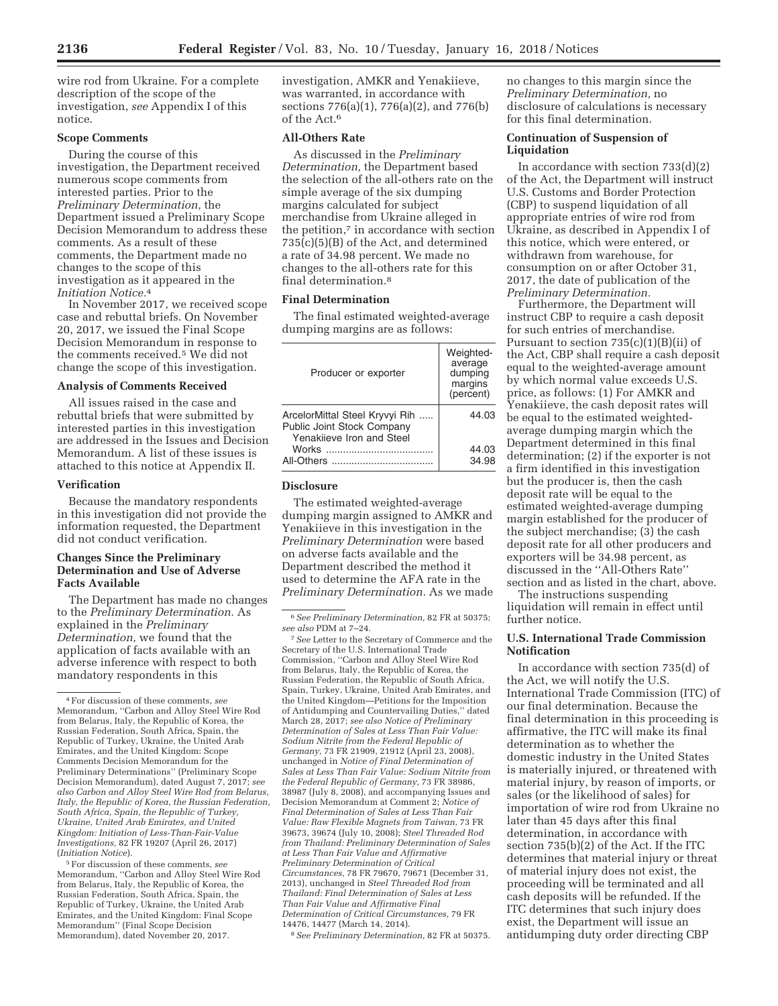wire rod from Ukraine. For a complete description of the scope of the investigation, *see* Appendix I of this notice.

## **Scope Comments**

During the course of this investigation, the Department received numerous scope comments from interested parties. Prior to the *Preliminary Determination,* the Department issued a Preliminary Scope Decision Memorandum to address these comments. As a result of these comments, the Department made no changes to the scope of this investigation as it appeared in the *Initiation Notice.*4

In November 2017, we received scope case and rebuttal briefs. On November 20, 2017, we issued the Final Scope Decision Memorandum in response to the comments received.5 We did not change the scope of this investigation.

## **Analysis of Comments Received**

All issues raised in the case and rebuttal briefs that were submitted by interested parties in this investigation are addressed in the Issues and Decision Memorandum. A list of these issues is attached to this notice at Appendix II.

#### **Verification**

Because the mandatory respondents in this investigation did not provide the information requested, the Department did not conduct verification.

## **Changes Since the Preliminary Determination and Use of Adverse Facts Available**

The Department has made no changes to the *Preliminary Determination.* As explained in the *Preliminary Determination,* we found that the application of facts available with an adverse inference with respect to both mandatory respondents in this

5For discussion of these comments, *see*  Memorandum, ''Carbon and Alloy Steel Wire Rod from Belarus, Italy, the Republic of Korea, the Russian Federation, South Africa, Spain, the Republic of Turkey, Ukraine, the United Arab Emirates, and the United Kingdom: Final Scope Memorandum'' (Final Scope Decision Memorandum), dated November 20, 2017.

investigation, AMKR and Yenakiieve, was warranted, in accordance with sections 776(a)(1), 776(a)(2), and 776(b) of the Act.6

## **All-Others Rate**

As discussed in the *Preliminary Determination,* the Department based the selection of the all-others rate on the simple average of the six dumping margins calculated for subject merchandise from Ukraine alleged in the petition,7 in accordance with section 735(c)(5)(B) of the Act, and determined a rate of 34.98 percent. We made no changes to the all-others rate for this final determination.8

## **Final Determination**

The final estimated weighted-average dumping margins are as follows:

| Producer or exporter                                                                      | Weighted-<br>average<br>dumping<br>margins<br>(percent) |
|-------------------------------------------------------------------------------------------|---------------------------------------------------------|
| ArcelorMittal Steel Kryvyi Rih<br>Public Joint Stock Company<br>Yenakijeve Iron and Steel | 44.03                                                   |
| All-Others                                                                                | 44.03<br>34.98                                          |

#### **Disclosure**

The estimated weighted-average dumping margin assigned to AMKR and Yenakiieve in this investigation in the *Preliminary Determination* were based on adverse facts available and the Department described the method it used to determine the AFA rate in the *Preliminary Determination.* As we made

7*See* Letter to the Secretary of Commerce and the Secretary of the U.S. International Trade Commission, ''Carbon and Alloy Steel Wire Rod from Belarus, Italy, the Republic of Korea, the Russian Federation, the Republic of South Africa, Spain, Turkey, Ukraine, United Arab Emirates, and the United Kingdom—Petitions for the Imposition of Antidumping and Countervailing Duties,'' dated March 28, 2017; *see also Notice of Preliminary Determination of Sales at Less Than Fair Value: Sodium Nitrite from the Federal Republic of Germany,* 73 FR 21909, 21912 (April 23, 2008), unchanged in *Notice of Final Determination of Sales at Less Than Fair Value: Sodium Nitrite from the Federal Republic of Germany,* 73 FR 38986, 38987 (July 8, 2008), and accompanying Issues and Decision Memorandum at Comment 2; *Notice of Final Determination of Sales at Less Than Fair Value: Raw Flexible Magnets from Taiwan,* 73 FR 39673, 39674 (July 10, 2008); *Steel Threaded Rod from Thailand: Preliminary Determination of Sales at Less Than Fair Value and Affirmative Preliminary Determination of Critical Circumstances,* 78 FR 79670, 79671 (December 31, 2013), unchanged in *Steel Threaded Rod from Thailand: Final Determination of Sales at Less Than Fair Value and Affirmative Final Determination of Critical Circumstances,* 79 FR 14476, 14477 (March 14, 2014).

8*See Preliminary Determination,* 82 FR at 50375.

no changes to this margin since the *Preliminary Determination,* no disclosure of calculations is necessary for this final determination.

# **Continuation of Suspension of Liquidation**

In accordance with section  $733(d)(2)$ of the Act, the Department will instruct U.S. Customs and Border Protection (CBP) to suspend liquidation of all appropriate entries of wire rod from Ukraine, as described in Appendix I of this notice, which were entered, or withdrawn from warehouse, for consumption on or after October 31, 2017, the date of publication of the *Preliminary Determination.* 

Furthermore, the Department will instruct CBP to require a cash deposit for such entries of merchandise. Pursuant to section  $735(c)(1)(B)(ii)$  of the Act, CBP shall require a cash deposit equal to the weighted-average amount by which normal value exceeds U.S. price, as follows: (1) For AMKR and Yenakiieve, the cash deposit rates will be equal to the estimated weightedaverage dumping margin which the Department determined in this final determination; (2) if the exporter is not a firm identified in this investigation but the producer is, then the cash deposit rate will be equal to the estimated weighted-average dumping margin established for the producer of the subject merchandise; (3) the cash deposit rate for all other producers and exporters will be 34.98 percent, as discussed in the ''All-Others Rate'' section and as listed in the chart, above.

The instructions suspending liquidation will remain in effect until further notice.

## **U.S. International Trade Commission Notification**

In accordance with section 735(d) of the Act, we will notify the U.S. International Trade Commission (ITC) of our final determination. Because the final determination in this proceeding is affirmative, the ITC will make its final determination as to whether the domestic industry in the United States is materially injured, or threatened with material injury, by reason of imports, or sales (or the likelihood of sales) for importation of wire rod from Ukraine no later than 45 days after this final determination, in accordance with section 735(b)(2) of the Act. If the ITC determines that material injury or threat of material injury does not exist, the proceeding will be terminated and all cash deposits will be refunded. If the ITC determines that such injury does exist, the Department will issue an antidumping duty order directing CBP

<sup>4</sup>For discussion of these comments, *see*  Memorandum, ''Carbon and Alloy Steel Wire Rod from Belarus, Italy, the Republic of Korea, the Russian Federation, South Africa, Spain, the Republic of Turkey, Ukraine, the United Arab Emirates, and the United Kingdom: Scope Comments Decision Memorandum for the Preliminary Determinations'' (Preliminary Scope Decision Memorandum), dated August 7, 2017; *see also Carbon and Alloy Steel Wire Rod from Belarus, Italy, the Republic of Korea, the Russian Federation, South Africa, Spain, the Republic of Turkey, Ukraine, United Arab Emirates, and United Kingdom: Initiation of Less-Than-Fair-Value Investigations,* 82 FR 19207 (April 26, 2017) (*Initiation Notice*).

<sup>6</sup>*See Preliminary Determination,* 82 FR at 50375; *see also* PDM at 7–24.